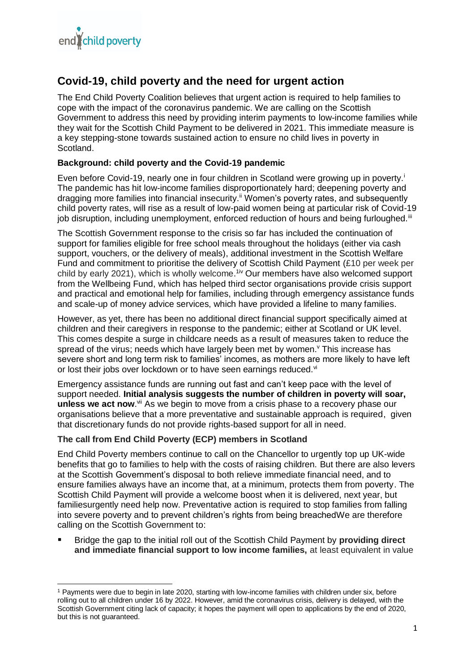# **Covid-19, child poverty and the need for urgent action**

The End Child Poverty Coalition believes that urgent action is required to help families to cope with the impact of the coronavirus pandemic. We are calling on the Scottish Government to address this need by providing interim payments to low-income families while they wait for the Scottish Child Payment to be delivered in 2021. This immediate measure is a key stepping-stone towards sustained action to ensure no child lives in poverty in Scotland.

# **Background: child poverty and the Covid-19 pandemic**

Even before Covid-19, nearly one in four children in Scotland were growing up in poverty.<sup>i</sup> The pandemic has hit low-income families disproportionately hard; deepening poverty and dragging more families into financial insecurity.<sup>ii</sup> Women's poverty rates, and subsequently child poverty rates, will rise as a result of low-paid women being at particular risk of Covid-19 job disruption, including unemployment, enforced reduction of hours and being furloughed.<sup>iii</sup>

The Scottish Government response to the crisis so far has included the continuation of support for families eligible for free school meals throughout the holidays (either via cash support, vouchers, or the delivery of meals), additional investment in the Scottish Welfare Fund and commitment to prioritise the delivery of Scottish Child Payment (£10 per week per child by early 2021), which is wholly welcome.<sup>1iv</sup> Our members have also welcomed support from the Wellbeing Fund, which has helped third sector organisations provide crisis support and practical and emotional help for families, including through emergency assistance funds and scale-up of money advice services, which have provided a lifeline to many families.

However, as yet, there has been no additional direct financial support specifically aimed at children and their caregivers in response to the pandemic; either at Scotland or UK level. This comes despite a surge in childcare needs as a result of measures taken to reduce the spread of the virus; needs which have largely been met by women. Y This increase has severe short and long term risk to families' incomes, as mothers are more likely to have left or lost their jobs over lockdown or to have seen earnings reduced.<sup>vi</sup>

Emergency assistance funds are running out fast and can't keep pace with the level of support needed. **Initial analysis suggests the number of children in poverty will soar,** unless we act now.<sup>vii</sup> As we begin to move from a crisis phase to a recovery phase our organisations believe that a more preventative and sustainable approach is required, given that discretionary funds do not provide rights-based support for all in need.

#### **The call from End Child Poverty (ECP) members in Scotland**

End Child Poverty members continue to call on the Chancellor to urgently top up UK-wide benefits that go to families to help with the costs of raising children. But there are also levers at the Scottish Government's disposal to both relieve immediate financial need, and to ensure families always have an income that, at a minimum, protects them from poverty. The Scottish Child Payment will provide a welcome boost when it is delivered, next year, but familiesurgently need help now. Preventative action is required to stop families from falling into severe poverty and to prevent children's rights from being breachedWe are therefore calling on the Scottish Government to:

 Bridge the gap to the initial roll out of the Scottish Child Payment by **providing direct and immediate financial support to low income families,** at least equivalent in value

**<sup>.</sup>** <sup>1</sup> Payments were due to begin in late 2020, starting with low-income families with children under six, before rolling out to all children under 16 by 2022. However, amid the coronavirus crisis, delivery is delayed, with the Scottish Government citing lack of capacity; it hopes the payment will open to applications by the end of 2020, but this is not guaranteed.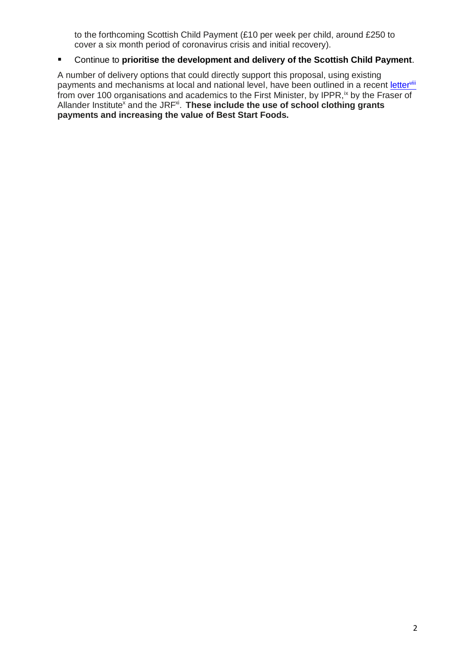to the forthcoming Scottish Child Payment (£10 per week per child, around £250 to cover a six month period of coronavirus crisis and initial recovery).

# Continue to **prioritise the development and delivery of the Scottish Child Payment**.

A number of delivery options that could directly support this proposal, using existing payments and mechanisms at local and national level, have been outlined in a recent [letter](https://cpag.org.uk/news-blogs/news-listings/open-letter-first-minister-coronavirus-support-low-income-families)vili from over 100 organisations and academics to the First Minister, by IPPR, ix by the Fraser of Allander Institute<sup>x</sup> and the JRF<sup>xi</sup>. These include the use of school clothing grants **payments and increasing the value of Best Start Foods.**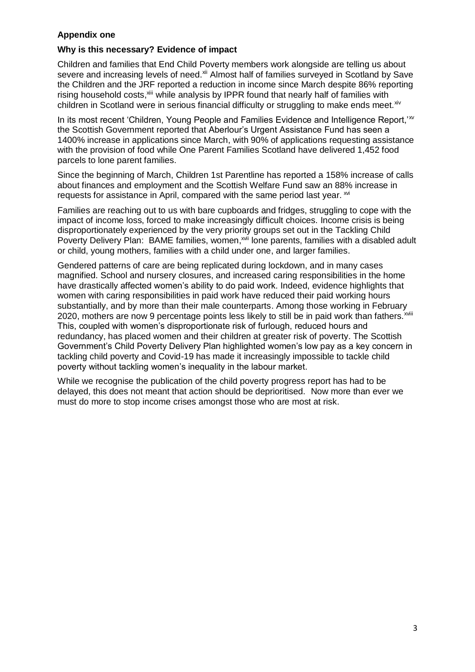# **Appendix one**

#### **Why is this necessary? Evidence of impact**

Children and families that End Child Poverty members work alongside are telling us about severe and increasing levels of need.<sup>xii</sup> Almost half of families surveyed in Scotland by Save the Children and the JRF reported a reduction in income since March despite 86% reporting rising household costs,<sup>xiii</sup> while analysis by IPPR found that nearly half of families with children in Scotland were in serious financial difficulty or struggling to make ends meet. xiv

In its most recent 'Children, Young People and Families Evidence and Intelligence Report, '<sup>xv</sup> the Scottish Government reported that Aberlour's Urgent Assistance Fund has seen a 1400% increase in applications since March, with 90% of applications requesting assistance with the provision of food while One Parent Families Scotland have delivered 1,452 food parcels to lone parent families.

Since the beginning of March, Children 1st Parentline has reported a 158% increase of calls about finances and employment and the Scottish Welfare Fund saw an 88% increase in requests for assistance in April, compared with the same period last year.  $^{x^{i}}$ 

Families are reaching out to us with bare cupboards and fridges, struggling to cope with the impact of income loss, forced to make increasingly difficult choices. Income crisis is being disproportionately experienced by the very priority groups set out in the Tackling Child Poverty Delivery Plan: BAME families, women,<sup>xvii</sup> lone parents, families with a disabled adult or child, young mothers, families with a child under one, and larger families.

Gendered patterns of care are being replicated during lockdown, and in many cases magnified. School and nursery closures, and increased caring responsibilities in the home have drastically affected women's ability to do paid work. Indeed, evidence highlights that women with caring responsibilities in paid work have reduced their paid working hours substantially, and by more than their male counterparts. Among those working in February 2020, mothers are now 9 percentage points less likely to still be in paid work than fathers.<sup>xviii</sup> This, coupled with women's disproportionate risk of furlough, reduced hours and redundancy, has placed women and their children at greater risk of poverty. The Scottish Government's Child Poverty Delivery Plan highlighted women's low pay as a key concern in tackling child poverty and Covid-19 has made it increasingly impossible to tackle child poverty without tackling women's inequality in the labour market.

While we recognise the publication of the child poverty progress report has had to be delayed, this does not meant that action should be deprioritised. Now more than ever we must do more to stop income crises amongst those who are most at risk.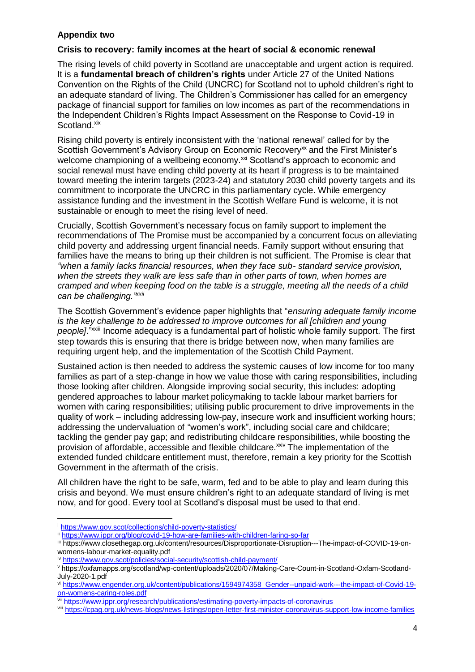## **Appendix two**

#### **Crisis to recovery: family incomes at the heart of social & economic renewal**

The rising levels of child poverty in Scotland are unacceptable and urgent action is required. It is a **fundamental breach of children's rights** under Article 27 of the United Nations Convention on the Rights of the Child (UNCRC) for Scotland not to uphold children's right to an adequate standard of living. The Children's Commissioner has called for an emergency package of financial support for families on low incomes as part of the recommendations in the Independent Children's Rights Impact Assessment on the Response to Covid-19 in Scotland.xix

Rising child poverty is entirely inconsistent with the 'national renewal' called for by the Scottish Government's Advisory Group on Economic Recovery<sup>xx</sup> and the First Minister's welcome championing of a wellbeing economy.<sup>xxi</sup> Scotland's approach to economic and social renewal must have ending child poverty at its heart if progress is to be maintained toward meeting the interim targets (2023-24) and statutory 2030 child poverty targets and its commitment to incorporate the UNCRC in this parliamentary cycle. While emergency assistance funding and the investment in the Scottish Welfare Fund is welcome, it is not sustainable or enough to meet the rising level of need.

Crucially, Scottish Government's necessary focus on family support to implement the recommendations of The Promise must be accompanied by a concurrent focus on alleviating child poverty and addressing urgent financial needs. Family support without ensuring that families have the means to bring up their children is not sufficient. The Promise is clear that *"when a family lacks financial resources, when they face sub- standard service provision, when the streets they walk are less safe than in other parts of town, when homes are cramped and when keeping food on the table is a struggle, meeting all the needs of a child can be challenging."xxii*

The Scottish Government's evidence paper highlights that "*ensuring adequate family income is the key challenge to be addressed to improve outcomes for all [children and young* people]."<sup>"XXII</sup> Income adequacy is a fundamental part of holistic whole family support. The first step towards this is ensuring that there is bridge between now, when many families are requiring urgent help, and the implementation of the Scottish Child Payment.

Sustained action is then needed to address the systemic causes of low income for too many families as part of a step-change in how we value those with caring responsibilities, including those looking after children. Alongside improving social security, this includes: adopting gendered approaches to labour market policymaking to tackle labour market barriers for women with caring responsibilities; utilising public procurement to drive improvements in the quality of work – including addressing low-pay, insecure work and insufficient working hours; addressing the undervaluation of "women's work", including social care and childcare; tackling the gender pay gap; and redistributing childcare responsibilities, while boosting the provision of affordable, accessible and flexible childcare.<sup>xxiv</sup> The implementation of the extended funded childcare entitlement must, therefore, remain a key priority for the Scottish Government in the aftermath of the crisis.

All children have the right to be safe, warm, fed and to be able to play and learn during this crisis and beyond. We must ensure children's right to an adequate standard of living is met now, and for good. Every tool at Scotland's disposal must be used to that end.

1

<sup>i</sup> <https://www.gov.scot/collections/child-poverty-statistics/>

ii <https://www.ippr.org/blog/covid-19-how-are-families-with-children-faring-so-far>

iii https://www.closethegap.org.uk/content/resources/Disproportionate-Disruption---The-impact-of-COVID-19-onwomens-labour-market-equality.pdf

iv <https://www.gov.scot/policies/social-security/scottish-child-payment/>

<sup>v</sup> https://oxfamapps.org/scotland/wp-content/uploads/2020/07/Making-Care-Count-in-Scotland-Oxfam-Scotland-July-2020-1.pdf

vi [https://www.engender.org.uk/content/publications/1594974358\\_Gender--unpaid-work---the-impact-of-Covid-19](https://www.engender.org.uk/content/publications/1594974358_Gender--unpaid-work---the-impact-of-Covid-19-on-womens-caring-roles.pdf) [on-womens-caring-roles.pdf](https://www.engender.org.uk/content/publications/1594974358_Gender--unpaid-work---the-impact-of-Covid-19-on-womens-caring-roles.pdf)

vii <https://www.ippr.org/research/publications/estimating-poverty-impacts-of-coronavirus>

viii <https://cpag.org.uk/news-blogs/news-listings/open-letter-first-minister-coronavirus-support-low-income-families>